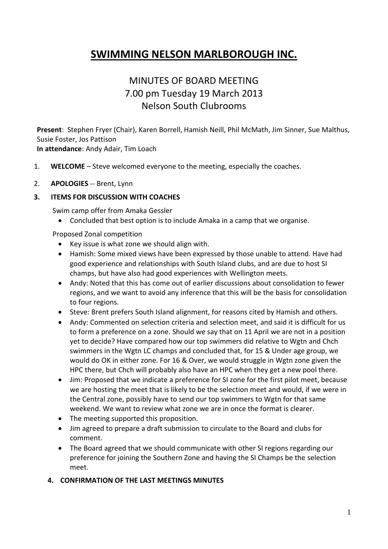# **SWIMMING NELSON MARLBOROUGH INC.**

# MINUTES OF BOARD MEETING 7.00 pm Tuesday 19 March 2013 Nelson South Clubrooms

**Present**: Stephen Fryer (Chair), Karen Borrell, Hamish Neill, Phil McMath, Jim Sinner, Sue Malthus, Susie Foster, Jos Pattison

**In attendance**: Andy Adair, Tim Loach

1. **WELCOME** – Steve welcomed everyone to the meeting, especially the coaches.

#### 2. **APOLOGIES** -- Brent, Lynn

#### **3. ITEMS FOR DISCUSSION WITH COACHES**

Swim camp offer from Amaka Gessler

Concluded that best option is to include Amaka in a camp that we organise.

Proposed Zonal competition

- Key issue is what zone we should align with.
- Hamish: Some mixed views have been expressed by those unable to attend. Have had good experience and relationships with South Island clubs, and are due to host SI champs, but have also had good experiences with Wellington meets.
- Andy: Noted that this has come out of earlier discussions about consolidation to fewer regions, and we want to avoid any inference that this will be the basis for consolidation to four regions.
- Steve: Brent prefers South Island alignment, for reasons cited by Hamish and others.
- Andy: Commented on selection criteria and selection meet, and said it is difficult for us to form a preference on a zone. Should we say that on 11 April we are not in a position yet to decide? Have compared how our top swimmers did relative to Wgtn and Chch swimmers in the Wgtn LC champs and concluded that, for 15 & Under age group, we would do OK in either zone. For 16 & Over, we would struggle in Wgtn zone given the HPC there, but Chch will probably also have an HPC when they get a new pool there.
- Jim: Proposed that we indicate a preference for SI zone for the first pilot meet, because we are hosting the meet that is likely to be the selection meet and would, if we were in the Central zone, possibly have to send our top swimmers to Wgtn for that same weekend. We want to review what zone we are in once the format is clearer.
- The meeting supported this proposition.
- Jim agreed to prepare a draft submission to circulate to the Board and clubs for comment.
- The Board agreed that we should communicate with other SI regions regarding our preference for joining the Southern Zone and having the SI Champs be the selection meet.

### **4. CONFIRMATION OF THE LAST MEETINGS MINUTES**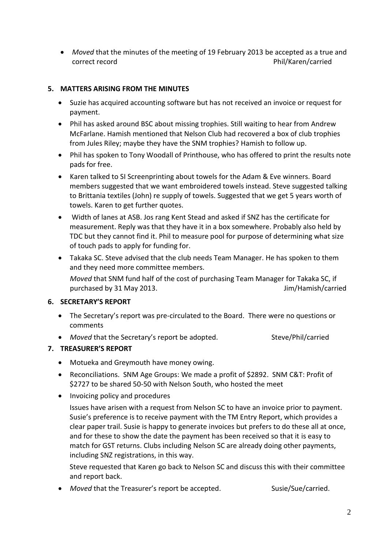*Moved* that the minutes of the meeting of 19 February 2013 be accepted as a true and correct record example and the philosophy of the Phil/Karen/carried

## **5. MATTERS ARISING FROM THE MINUTES**

- Suzie has acquired accounting software but has not received an invoice or request for payment.
- Phil has asked around BSC about missing trophies. Still waiting to hear from Andrew McFarlane. Hamish mentioned that Nelson Club had recovered a box of club trophies from Jules Riley; maybe they have the SNM trophies? Hamish to follow up.
- Phil has spoken to Tony Woodall of Printhouse, who has offered to print the results note pads for free.
- Karen talked to SI Screenprinting about towels for the Adam & Eve winners. Board members suggested that we want embroidered towels instead. Steve suggested talking to Brittania textiles (John) re supply of towels. Suggested that we get 5 years worth of towels. Karen to get further quotes.
- Width of lanes at ASB. Jos rang Kent Stead and asked if SNZ has the certificate for measurement. Reply was that they have it in a box somewhere. Probably also held by TDC but they cannot find it. Phil to measure pool for purpose of determining what size of touch pads to apply for funding for.
- Takaka SC. Steve advised that the club needs Team Manager. He has spoken to them and they need more committee members.

*Moved* that SNM fund half of the cost of purchasing Team Manager for Takaka SC, if purchased by 31 May 2013. The same state of the state of the state of the state of the state of the state of the state of the state of the state of the state of the state of the state of the state of the state of the state

### **6. SECRETARY'S REPORT**

- The Secretary's report was pre-circulated to the Board. There were no questions or comments
- Moved that the Secretary's report be adopted. Steve/Phil/carried

## **7. TREASURER'S REPORT**

- Motueka and Greymouth have money owing.
- Reconciliations. SNM Age Groups: We made a profit of \$2892. SNM C&T: Profit of \$2727 to be shared 50-50 with Nelson South, who hosted the meet
- Invoicing policy and procedures

Issues have arisen with a request from Nelson SC to have an invoice prior to payment. Susie's preference is to receive payment with the TM Entry Report, which provides a clear paper trail. Susie is happy to generate invoices but prefers to do these all at once, and for these to show the date the payment has been received so that it is easy to match for GST returns. Clubs including Nelson SC are already doing other payments, including SNZ registrations, in this way.

Steve requested that Karen go back to Nelson SC and discuss this with their committee and report back.

• Moved that the Treasurer's report be accepted. Susie/Sue/carried.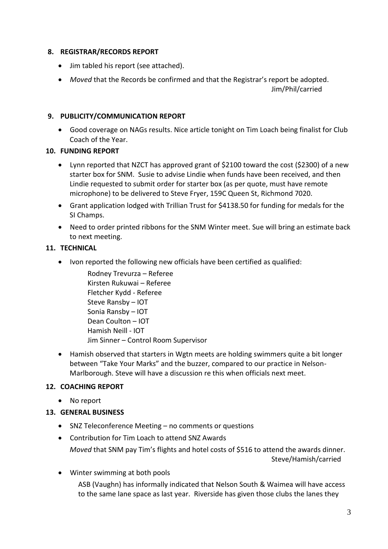### **8. REGISTRAR/RECORDS REPORT**

- Jim tabled his report (see attached).
- *Moved* that the Records be confirmed and that the Registrar's report be adopted.

Jim/Phil/carried

## **9. PUBLICITY/COMMUNICATION REPORT**

 Good coverage on NAGs results. Nice article tonight on Tim Loach being finalist for Club Coach of the Year.

## **10. FUNDING REPORT**

- Lynn reported that NZCT has approved grant of \$2100 toward the cost (\$2300) of a new starter box for SNM. Susie to advise Lindie when funds have been received, and then Lindie requested to submit order for starter box (as per quote, must have remote microphone) to be delivered to Steve Fryer, 159C Queen St, Richmond 7020.
- Grant application lodged with Trillian Trust for \$4138.50 for funding for medals for the SI Champs.
- Need to order printed ribbons for the SNM Winter meet. Sue will bring an estimate back to next meeting.

## **11. TECHNICAL**

• Ivon reported the following new officials have been certified as qualified:

Rodney Trevurza – Referee Kirsten Rukuwai – Referee Fletcher Kydd - Referee Steve Ransby – IOT Sonia Ransby – IOT Dean Coulton – IOT Hamish Neill - IOT Jim Sinner – Control Room Supervisor

 Hamish observed that starters in Wgtn meets are holding swimmers quite a bit longer between "Take Your Marks" and the buzzer, compared to our practice in Nelson-Marlborough. Steve will have a discussion re this when officials next meet.

## **12. COACHING REPORT**

No report

## **13. GENERAL BUSINESS**

- SNZ Teleconference Meeting no comments or questions
- Contribution for Tim Loach to attend SNZ Awards *Moved* that SNM pay Tim's flights and hotel costs of \$516 to attend the awards dinner. Steve/Hamish/carried

 Winter swimming at both pools ASB (Vaughn) has informally indicated that Nelson South & Waimea will have access to the same lane space as last year. Riverside has given those clubs the lanes they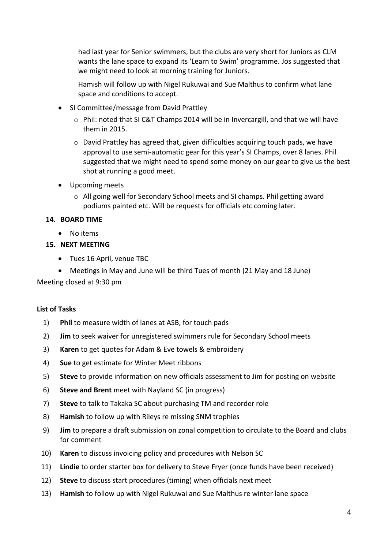had last year for Senior swimmers, but the clubs are very short for Juniors as CLM wants the lane space to expand its 'Learn to Swim' programme. Jos suggested that we might need to look at morning training for Juniors.

Hamish will follow up with Nigel Rukuwai and Sue Malthus to confirm what lane space and conditions to accept.

- SI Committee/message from David Prattley
	- $\circ$  Phil: noted that SI C&T Champs 2014 will be in Invercargill, and that we will have them in 2015.
	- $\circ$  David Prattley has agreed that, given difficulties acquiring touch pads, we have approval to use semi-automatic gear for this year's SI Champs, over 8 lanes. Phil suggested that we might need to spend some money on our gear to give us the best shot at running a good meet.
- Upcoming meets
	- $\circ$  All going well for Secondary School meets and SI champs. Phil getting award podiums painted etc. Will be requests for officials etc coming later.

### **14. BOARD TIME**

No items

## **15. NEXT MEETING**

- Tues 16 April, venue TBC
- Meetings in May and June will be third Tues of month (21 May and 18 June)

Meeting closed at 9:30 pm

### **List of Tasks**

- 1) **Phil** to measure width of lanes at ASB, for touch pads
- 2) **Jim** to seek waiver for unregistered swimmers rule for Secondary School meets
- 3) **Karen** to get quotes for Adam & Eve towels & embroidery
- 4) **Sue** to get estimate for Winter Meet ribbons
- 5) **Steve** to provide information on new officials assessment to Jim for posting on website
- 6) **Steve and Brent** meet with Nayland SC (in progress)
- 7) **Steve** to talk to Takaka SC about purchasing TM and recorder role
- 8) **Hamish** to follow up with Rileys re missing SNM trophies
- 9) **Jim** to prepare a draft submission on zonal competition to circulate to the Board and clubs for comment
- 10) **Karen** to discuss invoicing policy and procedures with Nelson SC
- 11) **Lindie** to order starter box for delivery to Steve Fryer (once funds have been received)
- 12) **Steve** to discuss start procedures (timing) when officials next meet
- 13) **Hamish** to follow up with Nigel Rukuwai and Sue Malthus re winter lane space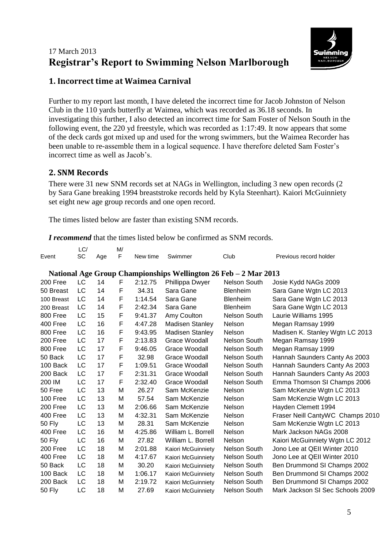# 17 March 2013 **Registrar's Report to Swimming Nelson Marlborough**



## **1. Incorrect time at Waimea Carnival**

Further to my report last month, I have deleted the incorrect time for Jacob Johnston of Nelson Club in the 110 yards butterfly at Waimea, which was recorded as 36.18 seconds. In investigating this further, I also detected an incorrect time for Sam Foster of Nelson South in the following event, the 220 yd freestyle, which was recorded as 1:17:49. It now appears that some of the deck cards got mixed up and used for the wrong swimmers, but the Waimea Recorder has been unable to re-assemble them in a logical sequence. I have therefore deleted Sam Foster's incorrect time as well as Jacob's.

## **2. SNM Records**

There were 31 new SNM records set at NAGs in Wellington, including 3 new open records (2 by Sara Gane breaking 1994 breaststroke records held by Kyla Steenhart). Kaiori McGuinniety set eight new age group records and one open record.

The times listed below are faster than existing SNM records.

*I recommend* that the times listed below be confirmed as SNM records.

|                                                                 | LC/ |     | M/ |          |                        |                     |                                  |
|-----------------------------------------------------------------|-----|-----|----|----------|------------------------|---------------------|----------------------------------|
| Event                                                           | SC  | Age | F  | New time | Swimmer                | Club                | Previous record holder           |
| National Age Group Championships Wellington 26 Feb - 2 Mar 2013 |     |     |    |          |                        |                     |                                  |
| 200 Free                                                        | LC  | 14  | F  | 2:12.75  | Phillippa Dwyer        | <b>Nelson South</b> | Josie Kydd NAGs 2009             |
| 50 Breast                                                       | LC  | 14  | F  | 34.31    | Sara Gane              | Blenheim            | Sara Gane Wgtn LC 2013           |
| 100 Breast                                                      | LC  | 14  | F  | 1:14.54  | Sara Gane              | Blenheim            | Sara Gane Wgtn LC 2013           |
| 200 Breast                                                      | LC  | 14  | F  | 2:42.34  | Sara Gane              | Blenheim            | Sara Gane Wgtn LC 2013           |
| 800 Free                                                        | LC  | 15  | F  | 9:41.37  | Amy Coulton            | Nelson South        | Laurie Williams 1995             |
| 400 Free                                                        | LC  | 16  | F  | 4:47.28  | <b>Madisen Stanley</b> | <b>Nelson</b>       | Megan Ramsay 1999                |
| 800 Free                                                        | LC  | 16  | F  | 9:43.95  | <b>Madisen Stanley</b> | <b>Nelson</b>       | Madisen K. Stanley Wgtn LC 2013  |
| 200 Free                                                        | LC  | 17  | F  | 2:13.83  | Grace Woodall          | Nelson South        | Megan Ramsay 1999                |
| 800 Free                                                        | LC  | 17  | F  | 9:46.05  | Grace Woodall          | Nelson South        | Megan Ramsay 1999                |
| 50 Back                                                         | LC  | 17  | F  | 32.98    | Grace Woodall          | <b>Nelson South</b> | Hannah Saunders Canty As 2003    |
| 100 Back                                                        | LC  | 17  | F  | 1:09.51  | Grace Woodall          | <b>Nelson South</b> | Hannah Saunders Canty As 2003    |
| 200 Back                                                        | LC  | 17  | F  | 2:31.31  | Grace Woodall          | <b>Nelson South</b> | Hannah Saunders Canty As 2003    |
| 200 IM                                                          | LC  | 17  | F  | 2:32.40  | Grace Woodall          | <b>Nelson South</b> | Emma Thomson SI Champs 2006      |
| 50 Free                                                         | LC  | 13  | M  | 26.27    | Sam McKenzie           | Nelson              | Sam McKenzie Wgtn LC 2013        |
| 100 Free                                                        | LC  | 13  | M  | 57.54    | Sam McKenzie           | Nelson              | Sam McKenzie Wgtn LC 2013        |
| 200 Free                                                        | LC  | 13  | M  | 2:06.66  | Sam McKenzie           | <b>Nelson</b>       | Hayden Clemett 1994              |
| 400 Free                                                        | LC  | 13  | M  | 4:32.31  | Sam McKenzie           | <b>Nelson</b>       | Fraser Neill CantyWC Champs 2010 |
| <b>50 Fly</b>                                                   | LC  | 13  | M  | 28.31    | Sam McKenzie           | Nelson              | Sam McKenzie Wgtn LC 2013        |
| 400 Free                                                        | LC  | 16  | M  | 4:25.86  | William L. Borrell     | Nelson              | Mark Jackson NAGs 2008           |
| <b>50 Fly</b>                                                   | LC  | 16  | M  | 27.82    | William L. Borrell     | Nelson              | Kaiori McGuinniety Wgtn LC 2012  |
| 200 Free                                                        | LC  | 18  | м  | 2:01.88  | Kaiori McGuinniety     | <b>Nelson South</b> | Jono Lee at QEII Winter 2010     |
| 400 Free                                                        | LC  | 18  | M  | 4:17.67  | Kaiori McGuinniety     | <b>Nelson South</b> | Jono Lee at QEII Winter 2010     |
| 50 Back                                                         | LC  | 18  | M  | 30.20    | Kaiori McGuinniety     | <b>Nelson South</b> | Ben Drummond SI Champs 2002      |
| 100 Back                                                        | LC  | 18  | M  | 1:06.17  | Kaiori McGuinniety     | <b>Nelson South</b> | Ben Drummond SI Champs 2002      |
| 200 Back                                                        | LC  | 18  | M  | 2:19.72  | Kaiori McGuinniety     | <b>Nelson South</b> | Ben Drummond SI Champs 2002      |
| 50 Fly                                                          | LC  | 18  | Μ  | 27.69    | Kaiori McGuinniety     | Nelson South        | Mark Jackson SI Sec Schools 2009 |